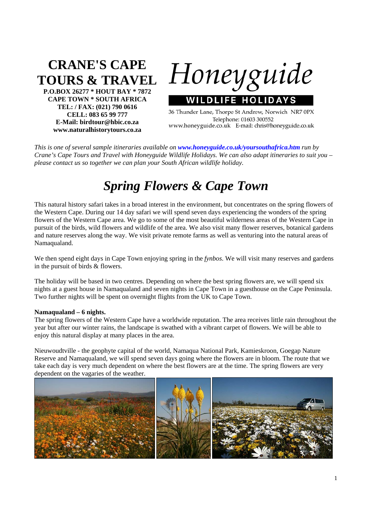## **CRANE'S CAPE TOURS & TRAVEL**

**P.O.BOX 26277 \* HOUT BAY \* 7872 CAPE TOWN \* SOUTH AFRICA TEL: / FAX: (021) 790 0616 CELL: 083 65 99 777 E-Mail: birdtour@hbic.co.za www.naturalhistorytours.co.za** 

Honeyguide **WILDLIFE HOLIDAY** 

36 Thunder Lane, Thorpe St Andrew, Norwich NR7 0PX Telephone: 01603 300552 www.honeyguide.co.uk E-mail: chris@honeyguide.co.uk

*This is one of several sample itineraries available on www.honeyguide.co.uk/yoursouthafrica.htm run by Crane's Cape Tours and Travel with Honeyguide Wildlife Holidays. We can also adapt itineraries to suit you – please contact us so together we can plan your South African wildlife holiday.* 

## *Spring Flowers & Cape Town*

This natural history safari takes in a broad interest in the environment, but concentrates on the spring flowers of the Western Cape. During our 14 day safari we will spend seven days experiencing the wonders of the spring flowers of the Western Cape area. We go to some of the most beautiful wilderness areas of the Western Cape in pursuit of the birds, wild flowers and wildlife of the area. We also visit many flower reserves, botanical gardens and nature reserves along the way. We visit private remote farms as well as venturing into the natural areas of Namaqualand.

We then spend eight days in Cape Town enjoying spring in the *fynbos*. We will visit many reserves and gardens in the pursuit of birds & flowers.

The holiday will be based in two centres. Depending on where the best spring flowers are, we will spend six nights at a guest house in Namaqualand and seven nights in Cape Town in a guesthouse on the Cape Peninsula. Two further nights will be spent on overnight flights from the UK to Cape Town.

## **Namaqualand – 6 nights.**

The spring flowers of the Western Cape have a worldwide reputation. The area receives little rain throughout the year but after our winter rains, the landscape is swathed with a vibrant carpet of flowers. We will be able to enjoy this natural display at many places in the area.

Nieuwoudtville - the geophyte capital of the world, Namaqua National Park, Kamieskroon, Goegap Nature Reserve and Namaqualand, we will spend seven days going where the flowers are in bloom. The route that we take each day is very much dependent on where the best flowers are at the time. The spring flowers are very dependent on the vagaries of the weather.

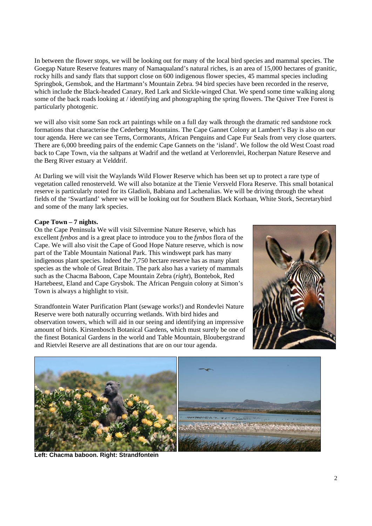In between the flower stops, we will be looking out for many of the local bird species and mammal species. The Goegap Nature Reserve features many of Namaqualand's natural riches, is an area of 15,000 hectares of granitic, rocky hills and sandy flats that support close on 600 indigenous flower species, 45 mammal species including Springbok, Gemsbok, and the Hartmann's Mountain Zebra. 94 bird species have been recorded in the reserve, which include the Black-headed Canary, Red Lark and Sickle-winged Chat. We spend some time walking along some of the back roads looking at / identifying and photographing the spring flowers. The Quiver Tree Forest is particularly photogenic.

we will also visit some San rock art paintings while on a full day walk through the dramatic red sandstone rock formations that characterise the Cederberg Mountains. The Cape Gannet Colony at Lambert's Bay is also on our tour agenda. Here we can see Terns, Cormorants, African Penguins and Cape Fur Seals from very close quarters. There are 6,000 breeding pairs of the endemic Cape Gannets on the 'island'. We follow the old West Coast road back to Cape Town, via the saltpans at Wadrif and the wetland at Verlorenvlei, Rocherpan Nature Reserve and the Berg River estuary at Velddrif.

At Darling we will visit the Waylands Wild Flower Reserve which has been set up to protect a rare type of vegetation called renosterveld. We will also botanize at the Tienie Versveld Flora Reserve. This small botanical reserve is particularly noted for its Gladioli, Babiana and Lachenalias. We will be driving through the wheat fields of the 'Swartland' where we will be looking out for Southern Black Korhaan, White Stork, Secretarybird and some of the many lark species.

## **Cape Town – 7 nights.**

On the Cape Peninsula We will visit Silvermine Nature Reserve, which has excellent *fynbos* and is a great place to introduce you to the *fynbos* flora of the Cape. We will also visit the Cape of Good Hope Nature reserve, which is now part of the Table Mountain National Park. This windswept park has many indigenous plant species. Indeed the 7,750 hectare reserve has as many plant species as the whole of Great Britain. The park also has a variety of mammals such as the Chacma Baboon, Cape Mountain Zebra (*right*), Bontebok, Red Hartebeest, Eland and Cape Grysbok. The African Penguin colony at Simon's Town is always a highlight to visit.

Strandfontein Water Purification Plant (sewage works!) and Rondevlei Nature Reserve were both naturally occurring wetlands. With bird hides and observation towers, which will aid in our seeing and identifying an impressive amount of birds. Kirstenbosch Botanical Gardens, which must surely be one of the finest Botanical Gardens in the world and Table Mountain, Bloubergstrand and Rietvlei Reserve are all destinations that are on our tour agenda.





**Left: Chacma baboon. Right: Strandfontein**